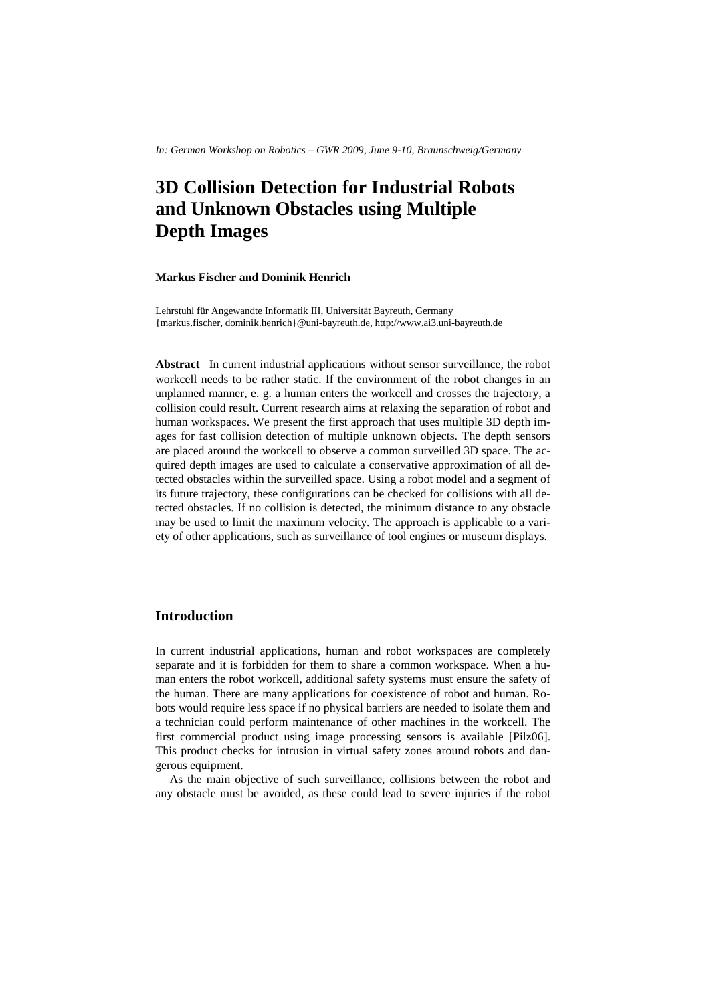*In: German Workshop on Robotics – GWR 2009, June 9-10, Braunschweig/Germany* 

# **3D Collision Detection for Industrial Robots and Unknown Obstacles using Multiple Depth Images**

#### **Markus Fischer and Dominik Henrich**

Lehrstuhl für Angewandte Informatik III, Universität Bayreuth, Germany {markus.fischer, dominik.henrich}@uni-bayreuth.de, http://www.ai3.uni-bayreuth.de

**Abstract** In current industrial applications without sensor surveillance, the robot workcell needs to be rather static. If the environment of the robot changes in an unplanned manner, e. g. a human enters the workcell and crosses the trajectory, a collision could result. Current research aims at relaxing the separation of robot and human workspaces. We present the first approach that uses multiple 3D depth images for fast collision detection of multiple unknown objects. The depth sensors are placed around the workcell to observe a common surveilled 3D space. The acquired depth images are used to calculate a conservative approximation of all detected obstacles within the surveilled space. Using a robot model and a segment of its future trajectory, these configurations can be checked for collisions with all detected obstacles. If no collision is detected, the minimum distance to any obstacle may be used to limit the maximum velocity. The approach is applicable to a variety of other applications, such as surveillance of tool engines or museum displays.

# **Introduction**

In current industrial applications, human and robot workspaces are completely separate and it is forbidden for them to share a common workspace. When a human enters the robot workcell, additional safety systems must ensure the safety of the human. There are many applications for coexistence of robot and human. Robots would require less space if no physical barriers are needed to isolate them and a technician could perform maintenance of other machines in the workcell. The first commercial product using image processing sensors is available [Pilz06]. This product checks for intrusion in virtual safety zones around robots and dangerous equipment.

As the main objective of such surveillance, collisions between the robot and any obstacle must be avoided, as these could lead to severe injuries if the robot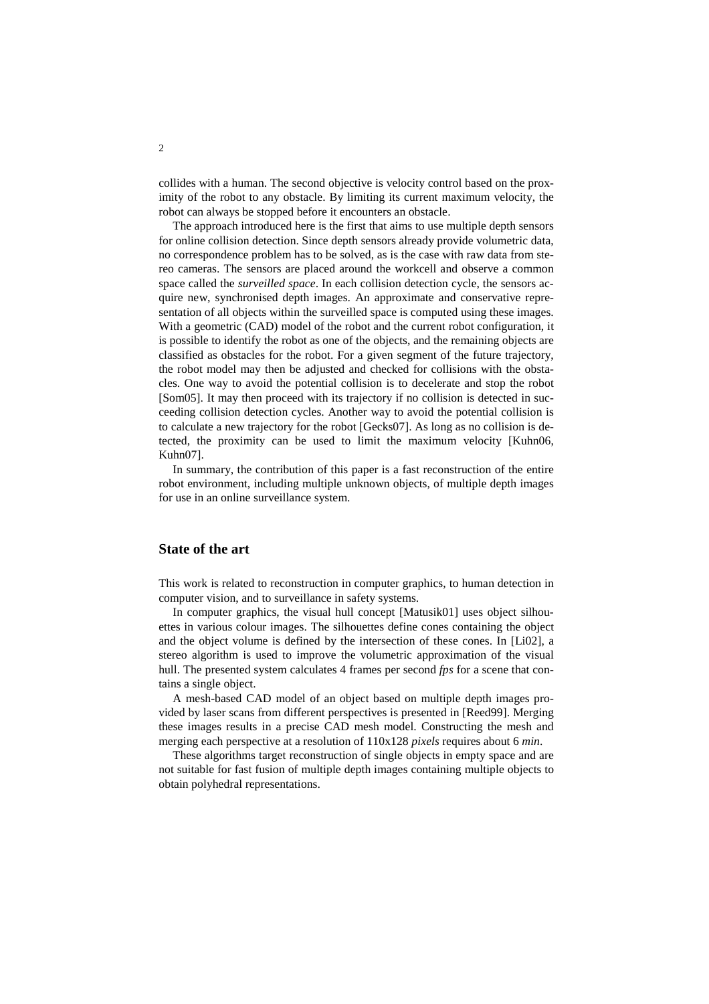collides with a human. The second objective is velocity control based on the proximity of the robot to any obstacle. By limiting its current maximum velocity, the robot can always be stopped before it encounters an obstacle.

The approach introduced here is the first that aims to use multiple depth sensors for online collision detection. Since depth sensors already provide volumetric data, no correspondence problem has to be solved, as is the case with raw data from stereo cameras. The sensors are placed around the workcell and observe a common space called the *surveilled space*. In each collision detection cycle, the sensors acquire new, synchronised depth images. An approximate and conservative representation of all objects within the surveilled space is computed using these images. With a geometric (CAD) model of the robot and the current robot configuration, it is possible to identify the robot as one of the objects, and the remaining objects are classified as obstacles for the robot. For a given segment of the future trajectory, the robot model may then be adjusted and checked for collisions with the obstacles. One way to avoid the potential collision is to decelerate and stop the robot [Som05]. It may then proceed with its trajectory if no collision is detected in succeeding collision detection cycles. Another way to avoid the potential collision is to calculate a new trajectory for the robot [Gecks07]. As long as no collision is detected, the proximity can be used to limit the maximum velocity [Kuhn06, Kuhn07].

In summary, the contribution of this paper is a fast reconstruction of the entire robot environment, including multiple unknown objects, of multiple depth images for use in an online surveillance system.

#### **State of the art**

This work is related to reconstruction in computer graphics, to human detection in computer vision, and to surveillance in safety systems.

In computer graphics, the visual hull concept [Matusik01] uses object silhouettes in various colour images. The silhouettes define cones containing the object and the object volume is defined by the intersection of these cones. In [Li02], a stereo algorithm is used to improve the volumetric approximation of the visual hull. The presented system calculates 4 frames per second *fps* for a scene that contains a single object.

A mesh-based CAD model of an object based on multiple depth images provided by laser scans from different perspectives is presented in [Reed99]. Merging these images results in a precise CAD mesh model. Constructing the mesh and merging each perspective at a resolution of 110x128 *pixels* requires about 6 *min*.

These algorithms target reconstruction of single objects in empty space and are not suitable for fast fusion of multiple depth images containing multiple objects to obtain polyhedral representations.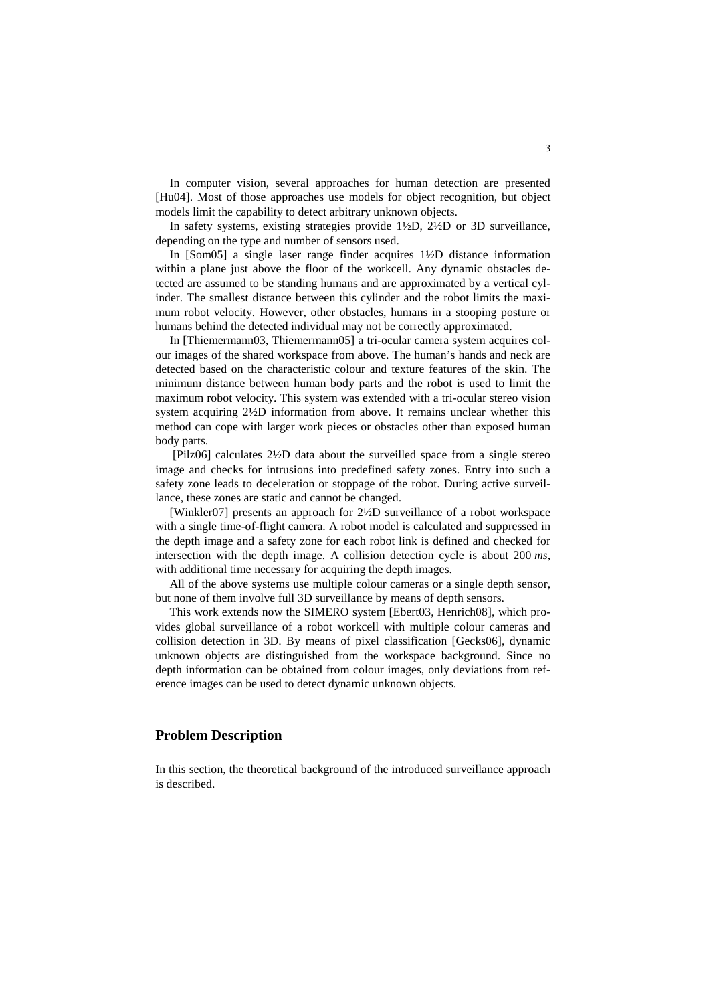In computer vision, several approaches for human detection are presented [Hu04]. Most of those approaches use models for object recognition, but object models limit the capability to detect arbitrary unknown objects.

In safety systems, existing strategies provide 1½D, 2½D or 3D surveillance, depending on the type and number of sensors used.

In [Som05] a single laser range finder acquires 1½D distance information within a plane just above the floor of the workcell. Any dynamic obstacles detected are assumed to be standing humans and are approximated by a vertical cylinder. The smallest distance between this cylinder and the robot limits the maximum robot velocity. However, other obstacles, humans in a stooping posture or humans behind the detected individual may not be correctly approximated.

In [Thiemermann03, Thiemermann05] a tri-ocular camera system acquires colour images of the shared workspace from above. The human's hands and neck are detected based on the characteristic colour and texture features of the skin. The minimum distance between human body parts and the robot is used to limit the maximum robot velocity. This system was extended with a tri-ocular stereo vision system acquiring 2½D information from above. It remains unclear whether this method can cope with larger work pieces or obstacles other than exposed human body parts.

 [Pilz06] calculates 2½D data about the surveilled space from a single stereo image and checks for intrusions into predefined safety zones. Entry into such a safety zone leads to deceleration or stoppage of the robot. During active surveillance, these zones are static and cannot be changed.

[Winkler07] presents an approach for 2½D surveillance of a robot workspace with a single time-of-flight camera. A robot model is calculated and suppressed in the depth image and a safety zone for each robot link is defined and checked for intersection with the depth image. A collision detection cycle is about 200 *ms*, with additional time necessary for acquiring the depth images.

All of the above systems use multiple colour cameras or a single depth sensor, but none of them involve full 3D surveillance by means of depth sensors.

This work extends now the SIMERO system [Ebert03, Henrich08], which provides global surveillance of a robot workcell with multiple colour cameras and collision detection in 3D. By means of pixel classification [Gecks06], dynamic unknown objects are distinguished from the workspace background. Since no depth information can be obtained from colour images, only deviations from reference images can be used to detect dynamic unknown objects.

#### **Problem Description**

In this section, the theoretical background of the introduced surveillance approach is described.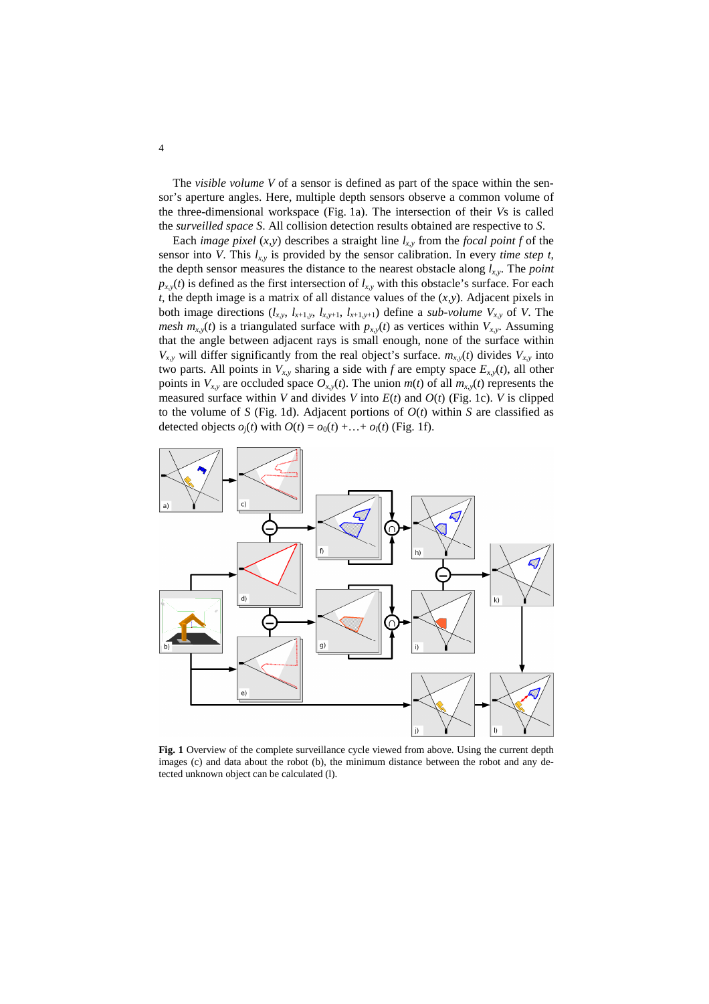The *visible volume V* of a sensor is defined as part of the space within the sensor's aperture angles. Here, multiple depth sensors observe a common volume of the three-dimensional workspace (Fig. 1a). The intersection of their *V*s is called the *surveilled space S*. All collision detection results obtained are respective to *S*.

Each *image pixel*  $(x,y)$  describes a straight line  $l_{xy}$  from the *focal point f* of the sensor into *V*. This  $l_{x,y}$  is provided by the sensor calibration. In every *time step t*, the depth sensor measures the distance to the nearest obstacle along *lx*,*<sup>y</sup>* . The *point*  $p_{x,y}(t)$  is defined as the first intersection of  $l_{x,y}$  with this obstacle's surface. For each  $t$ , the depth image is a matrix of all distance values of the  $(x,y)$ . Adjacent pixels in both image directions  $(l_{x,y}, l_{x+1,y}, l_{x,y+1}, l_{x+1,y+1})$  define a *sub-volume*  $V_{x,y}$  of *V*. The *mesh*  $m_{x,y}(t)$  is a triangulated surface with  $p_{x,y}(t)$  as vertices within  $V_{x,y}$ . Assuming that the angle between adjacent rays is small enough, none of the surface within *V*<sub>*x*,*y*</sub> will differ significantly from the real object's surface.  $m_{x,y}(t)$  divides  $V_{x,y}$  into two parts. All points in  $V_{x,y}$  sharing a side with *f* are empty space  $E_{x,y}(t)$ , all other points in  $V_{x,y}$  are occluded space  $O_{x,y}(t)$ . The union  $m(t)$  of all  $m_{x,y}(t)$  represents the measured surface within *V* and divides *V* into  $E(t)$  and  $O(t)$  (Fig. 1c). *V* is clipped to the volume of *S* (Fig. 1d). Adjacent portions of  $O(t)$  within *S* are classified as detected objects  $o_i(t)$  with  $O(t) = o_0(t) + \ldots + o_l(t)$  (Fig. 1f).



Fig. 1 Overview of the complete surveillance cycle viewed from above. Using the current depth images (c) and data about the robot (b), the minimum distance between the robot and any detected unknown object can be calculated (l).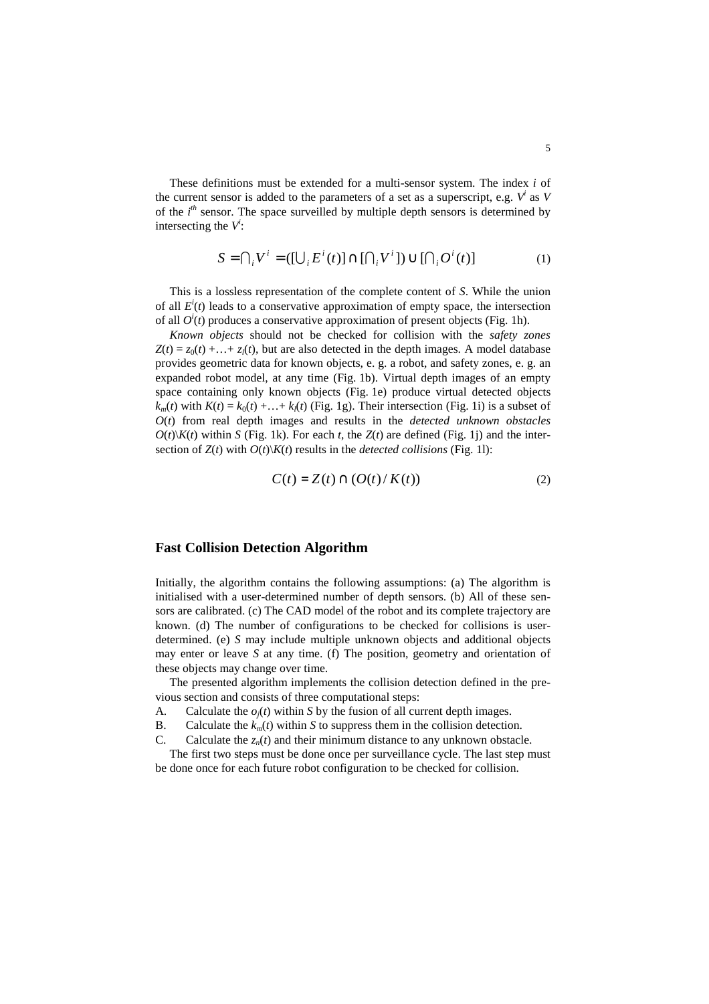These definitions must be extended for a multi-sensor system. The index *i* of the current sensor is added to the parameters of a set as a superscript, e.g.  $V^i$  as *V* of the  $i<sup>th</sup>$  sensor. The space surveilled by multiple depth sensors is determined by intersecting the  $V^i$ :

$$
S = \bigcap_i V^i = \left( [\bigcup_i E^i(t)] \cap [\bigcap_i V^i] \right) \cup [\bigcap_i O^i(t)] \tag{1}
$$

This is a lossless representation of the complete content of *S*. While the union of all  $E^{i}(t)$  leads to a conservative approximation of empty space, the intersection of all  $O^{i}(t)$  produces a conservative approximation of present objects (Fig. 1h).

*Known objects* should not be checked for collision with the *safety zones*   $Z(t) = z_0(t) + \ldots + z_l(t)$ , but are also detected in the depth images. A model database provides geometric data for known objects, e. g. a robot, and safety zones, e. g. an expanded robot model, at any time (Fig. 1b). Virtual depth images of an empty space containing only known objects (Fig. 1e) produce virtual detected objects  $k_m(t)$  with  $K(t) = k_0(t) + \ldots + k_l(t)$  (Fig. 1g). Their intersection (Fig. 1i) is a subset of *O*(*t*) from real depth images and results in the *detected unknown obstacles*  $O(t)$  $K(t)$  within *S* (Fig. 1k). For each *t*, the *Z*(*t*) are defined (Fig. 1) and the intersection of  $Z(t)$  with  $O(t)$  $K(t)$  results in the *detected collisions* (Fig. 11):

$$
C(t) = Z(t) \cap (O(t)/K(t))
$$
\n(2)

#### **Fast Collision Detection Algorithm**

Initially, the algorithm contains the following assumptions: (a) The algorithm is initialised with a user-determined number of depth sensors. (b) All of these sensors are calibrated. (c) The CAD model of the robot and its complete trajectory are known. (d) The number of configurations to be checked for collisions is userdetermined. (e) *S* may include multiple unknown objects and additional objects may enter or leave *S* at any time. (f) The position, geometry and orientation of these objects may change over time.

The presented algorithm implements the collision detection defined in the previous section and consists of three computational steps:

- A. Calculate the  $o_j(t)$  within *S* by the fusion of all current depth images.
- B. Calculate the  $k_m(t)$  within *S* to suppress them in the collision detection.
- C. Calculate the  $z_n(t)$  and their minimum distance to any unknown obstacle.

The first two steps must be done once per surveillance cycle. The last step must be done once for each future robot configuration to be checked for collision.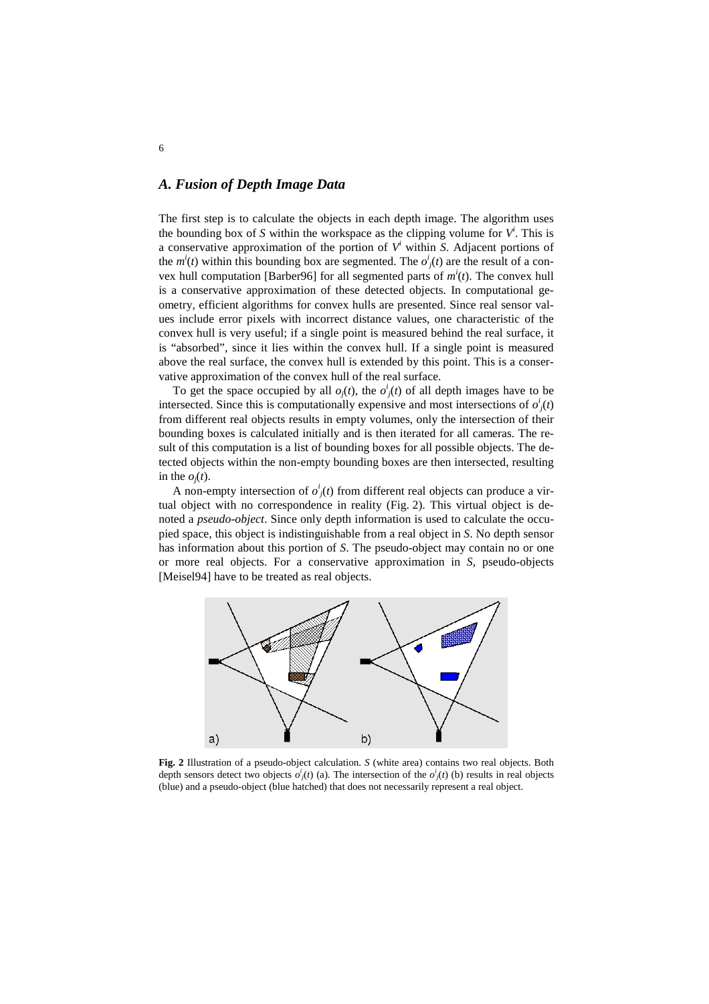# *A. Fusion of Depth Image Data*

The first step is to calculate the objects in each depth image. The algorithm uses the bounding box of *S* within the workspace as the clipping volume for  $V^i$ . This is a conservative approximation of the portion of  $V^i$  within *S*. Adjacent portions of the  $m^i(t)$  within this bounding box are segmented. The  $o^i_j(t)$  are the result of a convex hull computation [Barber96] for all segmented parts of *m i* (*t*). The convex hull is a conservative approximation of these detected objects. In computational geometry, efficient algorithms for convex hulls are presented. Since real sensor values include error pixels with incorrect distance values, one characteristic of the convex hull is very useful; if a single point is measured behind the real surface, it is "absorbed", since it lies within the convex hull. If a single point is measured above the real surface, the convex hull is extended by this point. This is a conservative approximation of the convex hull of the real surface.

To get the space occupied by all  $o_j(t)$ , the  $o_j^i(t)$  of all depth images have to be intersected. Since this is computationally expensive and most intersections of  $o_j^i(t)$ from different real objects results in empty volumes, only the intersection of their bounding boxes is calculated initially and is then iterated for all cameras. The result of this computation is a list of bounding boxes for all possible objects. The detected objects within the non-empty bounding boxes are then intersected, resulting in the  $o_i(t)$ .

A non-empty intersection of  $o^i_j(t)$  from different real objects can produce a virtual object with no correspondence in reality (Fig. 2). This virtual object is denoted a *pseudo-object*. Since only depth information is used to calculate the occupied space, this object is indistinguishable from a real object in *S*. No depth sensor has information about this portion of *S*. The pseudo-object may contain no or one or more real objects. For a conservative approximation in *S*, pseudo-objects [Meisel94] have to be treated as real objects.



**Fig. 2** Illustration of a pseudo-object calculation. *S* (white area) contains two real objects. Both depth sensors detect two objects  $o^i_j(t)$  (a). The intersection of the  $o^i_j(t)$  (b) results in real objects (blue) and a pseudo-object (blue hatched) that does not necessarily represent a real object.

6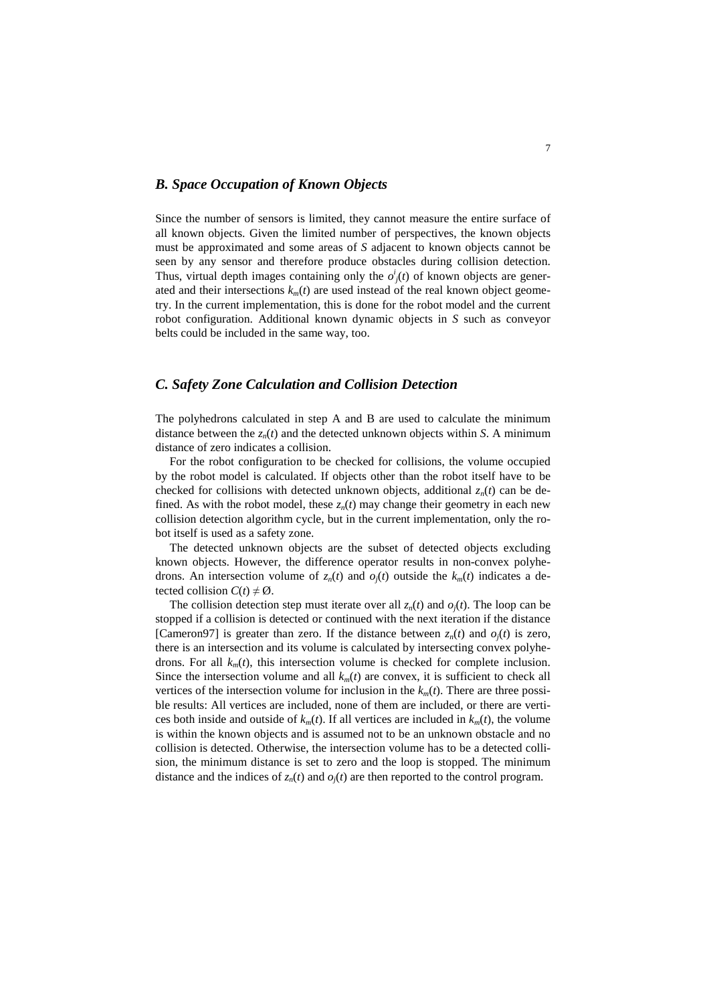## *B. Space Occupation of Known Objects*

Since the number of sensors is limited, they cannot measure the entire surface of all known objects. Given the limited number of perspectives, the known objects must be approximated and some areas of *S* adjacent to known objects cannot be seen by any sensor and therefore produce obstacles during collision detection. Thus, virtual depth images containing only the  $o^i_j(t)$  of known objects are generated and their intersections  $k_m(t)$  are used instead of the real known object geometry. In the current implementation, this is done for the robot model and the current robot configuration. Additional known dynamic objects in *S* such as conveyor belts could be included in the same way, too.

# *C. Safety Zone Calculation and Collision Detection*

The polyhedrons calculated in step A and B are used to calculate the minimum distance between the  $z_n(t)$  and the detected unknown objects within *S*. A minimum distance of zero indicates a collision.

For the robot configuration to be checked for collisions, the volume occupied by the robot model is calculated. If objects other than the robot itself have to be checked for collisions with detected unknown objects, additional  $z_n(t)$  can be defined. As with the robot model, these  $z_n(t)$  may change their geometry in each new collision detection algorithm cycle, but in the current implementation, only the robot itself is used as a safety zone.

The detected unknown objects are the subset of detected objects excluding known objects. However, the difference operator results in non-convex polyhedrons. An intersection volume of  $z_n(t)$  and  $o_j(t)$  outside the  $k_m(t)$  indicates a detected collision  $C(t) \neq \emptyset$ .

The collision detection step must iterate over all  $z_n(t)$  and  $o_i(t)$ . The loop can be stopped if a collision is detected or continued with the next iteration if the distance [Cameron97] is greater than zero. If the distance between  $z_n(t)$  and  $o_i(t)$  is zero, there is an intersection and its volume is calculated by intersecting convex polyhedrons. For all  $k_m(t)$ , this intersection volume is checked for complete inclusion. Since the intersection volume and all  $k_m(t)$  are convex, it is sufficient to check all vertices of the intersection volume for inclusion in the  $k<sub>m</sub>(t)$ . There are three possible results: All vertices are included, none of them are included, or there are vertices both inside and outside of  $k_m(t)$ . If all vertices are included in  $k_m(t)$ , the volume is within the known objects and is assumed not to be an unknown obstacle and no collision is detected. Otherwise, the intersection volume has to be a detected collision, the minimum distance is set to zero and the loop is stopped. The minimum distance and the indices of  $z_n(t)$  and  $o_j(t)$  are then reported to the control program.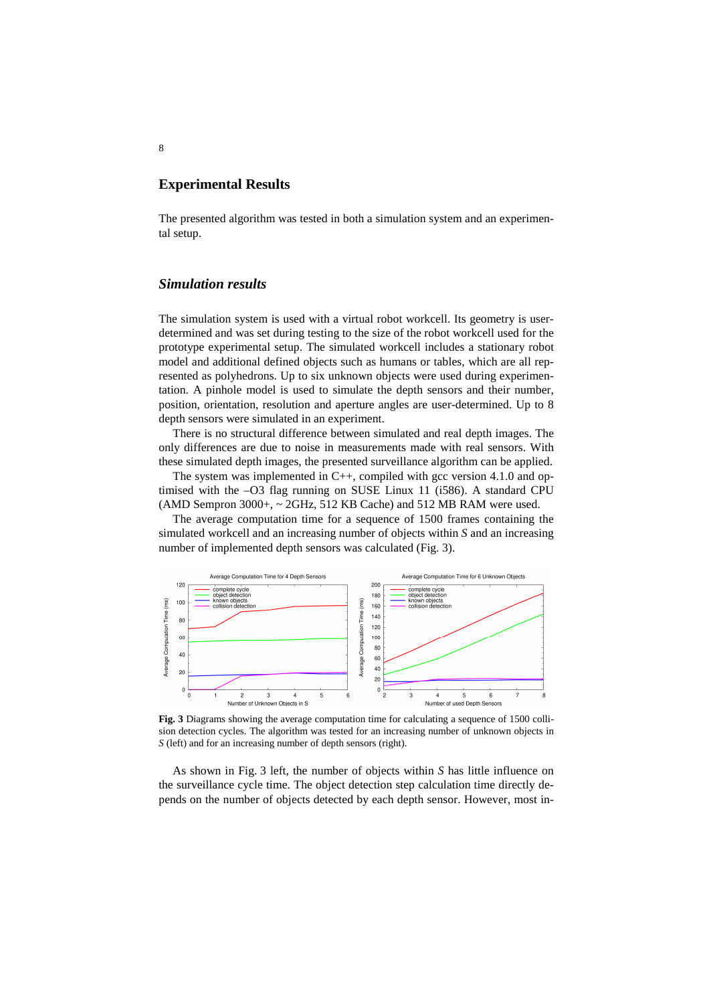# **Experimental Results**

The presented algorithm was tested in both a simulation system and an experimental setup.

# *Simulation results*

The simulation system is used with a virtual robot workcell. Its geometry is userdetermined and was set during testing to the size of the robot workcell used for the prototype experimental setup. The simulated workcell includes a stationary robot model and additional defined objects such as humans or tables, which are all represented as polyhedrons. Up to six unknown objects were used during experimentation. A pinhole model is used to simulate the depth sensors and their number, position, orientation, resolution and aperture angles are user-determined. Up to 8 depth sensors were simulated in an experiment.

There is no structural difference between simulated and real depth images. The only differences are due to noise in measurements made with real sensors. With these simulated depth images, the presented surveillance algorithm can be applied.

The system was implemented in C++, compiled with gcc version 4.1.0 and optimised with the –O3 flag running on SUSE Linux 11 (i586). A standard CPU (AMD Sempron  $3000+$ ,  $\sim$  2GHz, 512 KB Cache) and 512 MB RAM were used.

The average computation time for a sequence of 1500 frames containing the simulated workcell and an increasing number of objects within *S* and an increasing number of implemented depth sensors was calculated (Fig. 3).



**Fig. 3** Diagrams showing the average computation time for calculating a sequence of 1500 collision detection cycles. The algorithm was tested for an increasing number of unknown objects in *S* (left) and for an increasing number of depth sensors (right).

As shown in Fig. 3 left, the number of objects within *S* has little influence on the surveillance cycle time. The object detection step calculation time directly depends on the number of objects detected by each depth sensor. However, most in-

8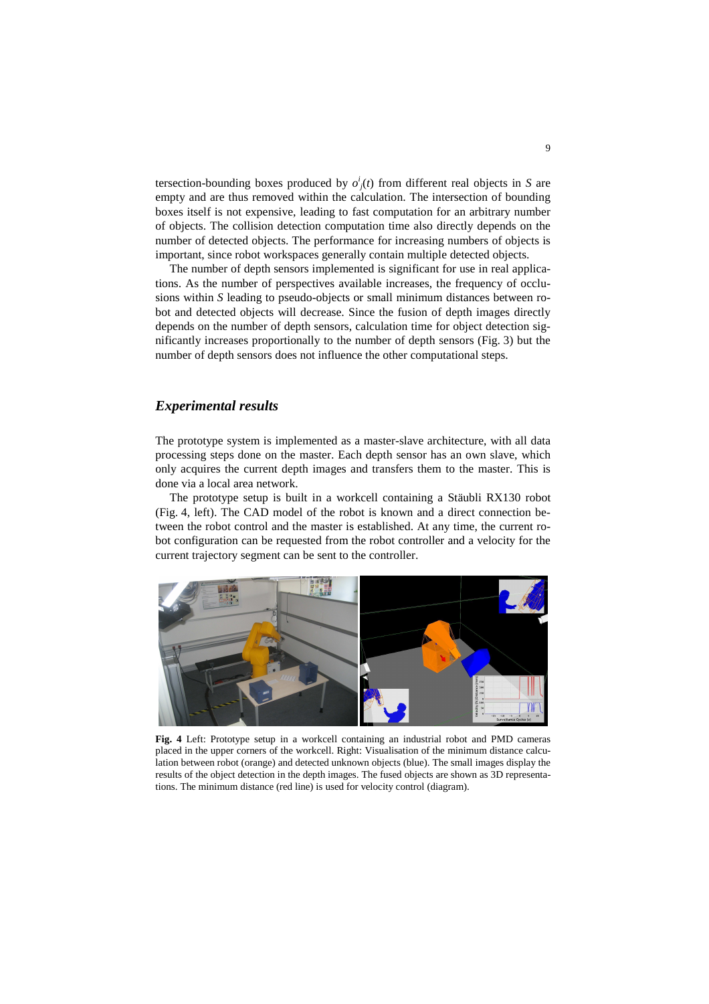tersection-bounding boxes produced by  $o^i_j(t)$  from different real objects in *S* are empty and are thus removed within the calculation. The intersection of bounding boxes itself is not expensive, leading to fast computation for an arbitrary number of objects. The collision detection computation time also directly depends on the number of detected objects. The performance for increasing numbers of objects is important, since robot workspaces generally contain multiple detected objects.

The number of depth sensors implemented is significant for use in real applications. As the number of perspectives available increases, the frequency of occlusions within *S* leading to pseudo-objects or small minimum distances between robot and detected objects will decrease. Since the fusion of depth images directly depends on the number of depth sensors, calculation time for object detection significantly increases proportionally to the number of depth sensors (Fig. 3) but the number of depth sensors does not influence the other computational steps.

# *Experimental results*

The prototype system is implemented as a master-slave architecture, with all data processing steps done on the master. Each depth sensor has an own slave, which only acquires the current depth images and transfers them to the master. This is done via a local area network.

The prototype setup is built in a workcell containing a Stäubli RX130 robot (Fig. 4, left). The CAD model of the robot is known and a direct connection between the robot control and the master is established. At any time, the current robot configuration can be requested from the robot controller and a velocity for the current trajectory segment can be sent to the controller.



**Fig. 4** Left: Prototype setup in a workcell containing an industrial robot and PMD cameras placed in the upper corners of the workcell. Right: Visualisation of the minimum distance calculation between robot (orange) and detected unknown objects (blue). The small images display the results of the object detection in the depth images. The fused objects are shown as 3D representations. The minimum distance (red line) is used for velocity control (diagram).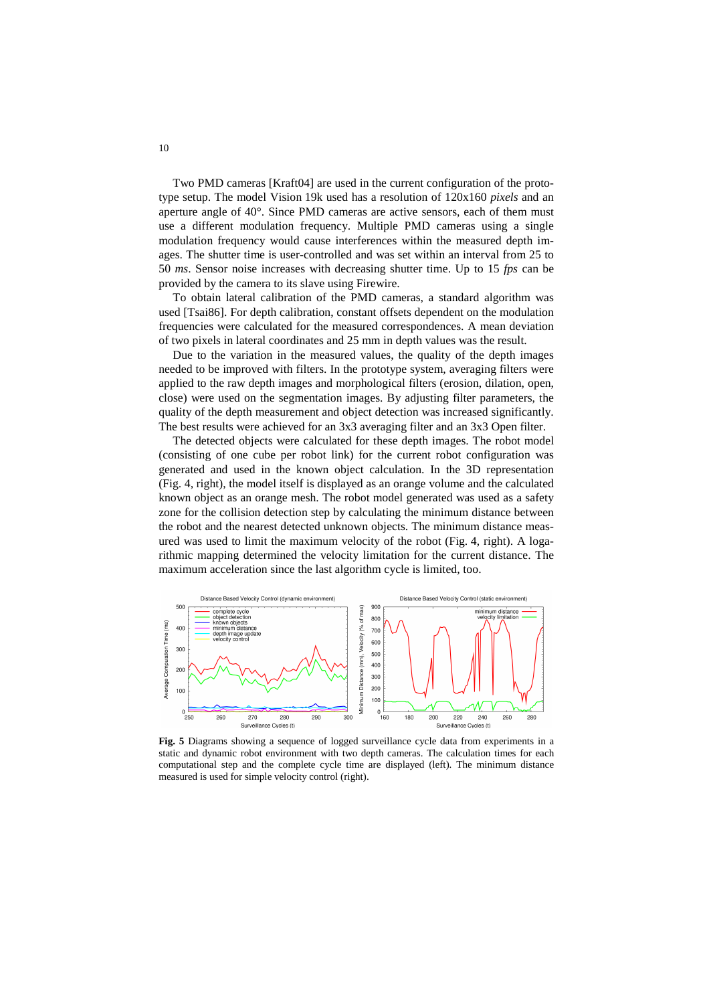Two PMD cameras [Kraft04] are used in the current configuration of the prototype setup. The model Vision 19k used has a resolution of 120x160 *pixels* and an aperture angle of 40°. Since PMD cameras are active sensors, each of them must use a different modulation frequency. Multiple PMD cameras using a single modulation frequency would cause interferences within the measured depth images. The shutter time is user-controlled and was set within an interval from 25 to 50 *ms*. Sensor noise increases with decreasing shutter time. Up to 15 *fps* can be provided by the camera to its slave using Firewire.

To obtain lateral calibration of the PMD cameras, a standard algorithm was used [Tsai86]. For depth calibration, constant offsets dependent on the modulation frequencies were calculated for the measured correspondences. A mean deviation of two pixels in lateral coordinates and 25 mm in depth values was the result.

Due to the variation in the measured values, the quality of the depth images needed to be improved with filters. In the prototype system, averaging filters were applied to the raw depth images and morphological filters (erosion, dilation, open, close) were used on the segmentation images. By adjusting filter parameters, the quality of the depth measurement and object detection was increased significantly. The best results were achieved for an 3x3 averaging filter and an 3x3 Open filter.

The detected objects were calculated for these depth images. The robot model (consisting of one cube per robot link) for the current robot configuration was generated and used in the known object calculation. In the 3D representation (Fig. 4, right), the model itself is displayed as an orange volume and the calculated known object as an orange mesh. The robot model generated was used as a safety zone for the collision detection step by calculating the minimum distance between the robot and the nearest detected unknown objects. The minimum distance measured was used to limit the maximum velocity of the robot (Fig. 4, right). A logarithmic mapping determined the velocity limitation for the current distance. The maximum acceleration since the last algorithm cycle is limited, too.



**Fig. 5** Diagrams showing a sequence of logged surveillance cycle data from experiments in a static and dynamic robot environment with two depth cameras. The calculation times for each computational step and the complete cycle time are displayed (left). The minimum distance measured is used for simple velocity control (right).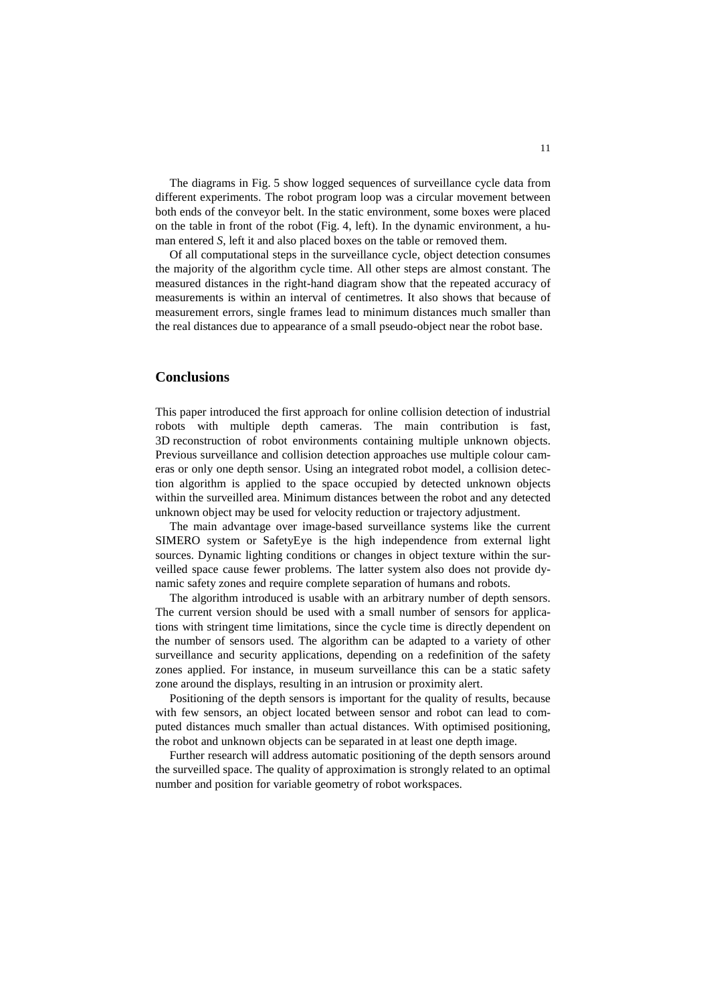The diagrams in Fig. 5 show logged sequences of surveillance cycle data from different experiments. The robot program loop was a circular movement between both ends of the conveyor belt. In the static environment, some boxes were placed on the table in front of the robot (Fig. 4, left). In the dynamic environment, a human entered *S*, left it and also placed boxes on the table or removed them.

Of all computational steps in the surveillance cycle, object detection consumes the majority of the algorithm cycle time. All other steps are almost constant. The measured distances in the right-hand diagram show that the repeated accuracy of measurements is within an interval of centimetres. It also shows that because of measurement errors, single frames lead to minimum distances much smaller than the real distances due to appearance of a small pseudo-object near the robot base.

# **Conclusions**

This paper introduced the first approach for online collision detection of industrial robots with multiple depth cameras. The main contribution is fast, 3D reconstruction of robot environments containing multiple unknown objects. Previous surveillance and collision detection approaches use multiple colour cameras or only one depth sensor. Using an integrated robot model, a collision detection algorithm is applied to the space occupied by detected unknown objects within the surveilled area. Minimum distances between the robot and any detected unknown object may be used for velocity reduction or trajectory adjustment.

The main advantage over image-based surveillance systems like the current SIMERO system or SafetyEye is the high independence from external light sources. Dynamic lighting conditions or changes in object texture within the surveilled space cause fewer problems. The latter system also does not provide dynamic safety zones and require complete separation of humans and robots.

The algorithm introduced is usable with an arbitrary number of depth sensors. The current version should be used with a small number of sensors for applications with stringent time limitations, since the cycle time is directly dependent on the number of sensors used. The algorithm can be adapted to a variety of other surveillance and security applications, depending on a redefinition of the safety zones applied. For instance, in museum surveillance this can be a static safety zone around the displays, resulting in an intrusion or proximity alert.

Positioning of the depth sensors is important for the quality of results, because with few sensors, an object located between sensor and robot can lead to computed distances much smaller than actual distances. With optimised positioning, the robot and unknown objects can be separated in at least one depth image.

Further research will address automatic positioning of the depth sensors around the surveilled space. The quality of approximation is strongly related to an optimal number and position for variable geometry of robot workspaces.